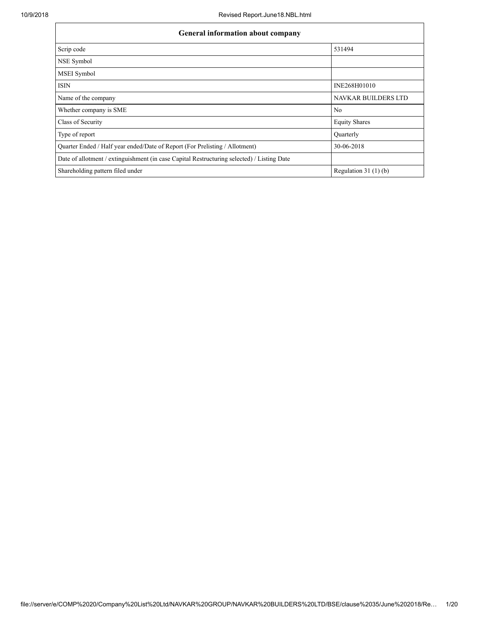| <b>General information about company</b>                                                   |                       |  |  |  |  |  |
|--------------------------------------------------------------------------------------------|-----------------------|--|--|--|--|--|
| Scrip code                                                                                 | 531494                |  |  |  |  |  |
| NSE Symbol                                                                                 |                       |  |  |  |  |  |
| <b>MSEI</b> Symbol                                                                         |                       |  |  |  |  |  |
| <b>ISIN</b>                                                                                | INE268H01010          |  |  |  |  |  |
| Name of the company                                                                        | NAVKAR BUILDERS LTD   |  |  |  |  |  |
| Whether company is SME                                                                     | N <sub>0</sub>        |  |  |  |  |  |
| Class of Security                                                                          | <b>Equity Shares</b>  |  |  |  |  |  |
| Type of report                                                                             | Quarterly             |  |  |  |  |  |
| Quarter Ended / Half year ended/Date of Report (For Prelisting / Allotment)                | 30-06-2018            |  |  |  |  |  |
| Date of allotment / extinguishment (in case Capital Restructuring selected) / Listing Date |                       |  |  |  |  |  |
| Shareholding pattern filed under                                                           | Regulation $31(1)(b)$ |  |  |  |  |  |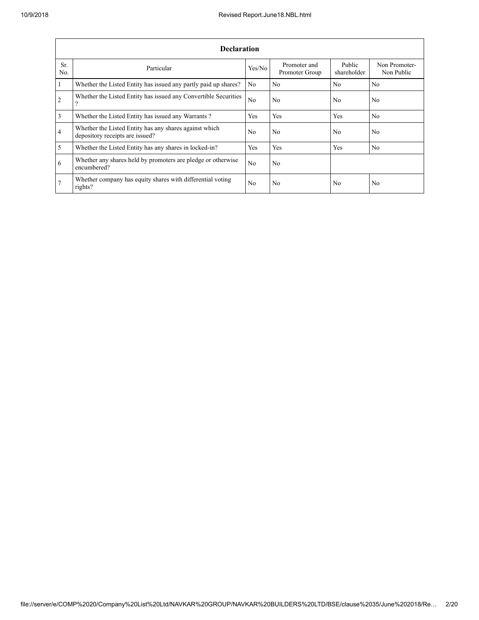|                       | <b>Declaration</b>                                                                        |                |                                |                       |                             |  |  |  |  |  |  |
|-----------------------|-------------------------------------------------------------------------------------------|----------------|--------------------------------|-----------------------|-----------------------------|--|--|--|--|--|--|
| Sr.<br>N <sub>0</sub> | Particular                                                                                | Yes/No         | Promoter and<br>Promoter Group | Public<br>shareholder | Non Promoter-<br>Non Public |  |  |  |  |  |  |
|                       | Whether the Listed Entity has issued any partly paid up shares?                           | N <sub>0</sub> | N <sub>0</sub>                 | No.                   | N <sub>0</sub>              |  |  |  |  |  |  |
| $\overline{2}$        | Whether the Listed Entity has issued any Convertible Securities<br>$\Omega$               | N <sub>0</sub> | N <sub>0</sub>                 | N <sub>0</sub>        | N <sub>0</sub>              |  |  |  |  |  |  |
| 3                     | Whether the Listed Entity has issued any Warrants?                                        | Yes            | Yes                            | Yes                   | N <sub>0</sub>              |  |  |  |  |  |  |
| 4                     | Whether the Listed Entity has any shares against which<br>depository receipts are issued? | No             | No                             | No.                   | N <sub>0</sub>              |  |  |  |  |  |  |
| 5                     | Whether the Listed Entity has any shares in locked-in?                                    | Yes            | Yes                            | Yes                   | N <sub>0</sub>              |  |  |  |  |  |  |
| 6                     | Whether any shares held by promoters are pledge or otherwise<br>encumbered?               | N <sub>0</sub> | No.                            |                       |                             |  |  |  |  |  |  |
|                       | Whether company has equity shares with differential voting<br>rights?                     | N <sub>0</sub> | N <sub>0</sub>                 | No.                   | N <sub>0</sub>              |  |  |  |  |  |  |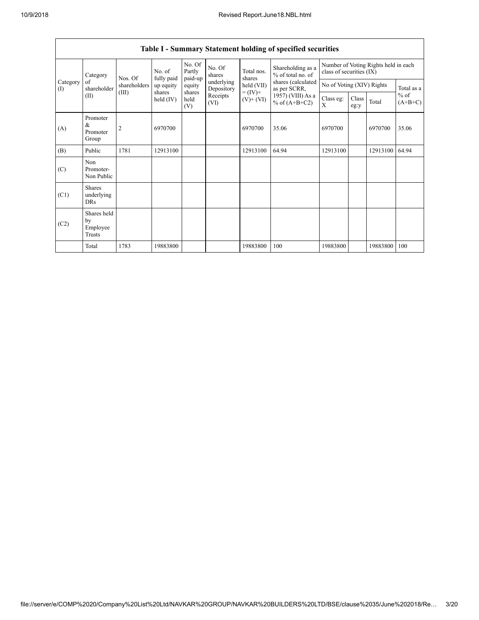|                 | Table I - Summary Statement holding of specified securities |                         |                         |                       |                                              |                                                      |                                                                            |                                                                  |               |          |                                   |  |  |
|-----------------|-------------------------------------------------------------|-------------------------|-------------------------|-----------------------|----------------------------------------------|------------------------------------------------------|----------------------------------------------------------------------------|------------------------------------------------------------------|---------------|----------|-----------------------------------|--|--|
|                 | Category                                                    | No. of                  |                         | No. Of<br>Partly      | No. Of<br>shares                             | Total nos.                                           | Shareholding as a<br>% of total no. of                                     | Number of Voting Rights held in each<br>class of securities (IX) |               |          |                                   |  |  |
| Category<br>(I) | of<br>shareholder                                           | Nos. Of<br>shareholders | fully paid<br>up equity | paid-up<br>equity     | underlying<br>Depository<br>Receipts<br>(VI) | shares<br>held (VII)<br>$= (IV) +$<br>$(V)$ + $(VI)$ | shares (calculated<br>as per SCRR,<br>1957) (VIII) As a<br>% of $(A+B+C2)$ | No of Voting (XIV) Rights                                        |               |          | Total as a<br>$%$ of<br>$(A+B+C)$ |  |  |
|                 | (II)                                                        | (III)                   | shares<br>held $(IV)$   | shares<br>held<br>(V) |                                              |                                                      |                                                                            | Class eg:<br>X                                                   | Class<br>eg:y | Total    |                                   |  |  |
| (A)             | Promoter<br>&<br>Promoter<br>Group                          | $\overline{2}$          | 6970700                 |                       |                                              | 6970700                                              | 35.06                                                                      | 6970700                                                          |               | 6970700  | 35.06                             |  |  |
| (B)             | Public                                                      | 1781                    | 12913100                |                       |                                              | 12913100                                             | 64.94                                                                      | 12913100                                                         |               | 12913100 | 64.94                             |  |  |
| (C)             | Non<br>Promoter-<br>Non Public                              |                         |                         |                       |                                              |                                                      |                                                                            |                                                                  |               |          |                                   |  |  |
| (C1)            | <b>Shares</b><br>underlying<br><b>DRs</b>                   |                         |                         |                       |                                              |                                                      |                                                                            |                                                                  |               |          |                                   |  |  |
| (C2)            | Shares held<br>by<br>Employee<br>Trusts                     |                         |                         |                       |                                              |                                                      |                                                                            |                                                                  |               |          |                                   |  |  |
|                 | Total                                                       | 1783                    | 19883800                |                       |                                              | 19883800                                             | 100                                                                        | 19883800                                                         |               | 19883800 | 100                               |  |  |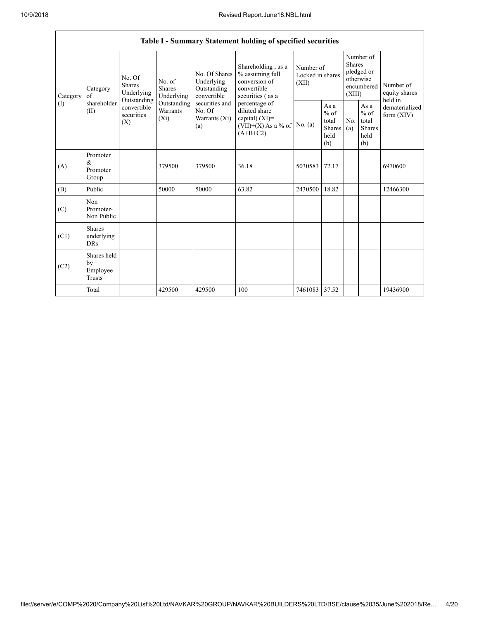|                 | Table I - Summary Statement holding of specified securities |                                               |                                       |                                                           |                                                                                           |                                        |                                                  |                         |                                                         |                                       |  |  |
|-----------------|-------------------------------------------------------------|-----------------------------------------------|---------------------------------------|-----------------------------------------------------------|-------------------------------------------------------------------------------------------|----------------------------------------|--------------------------------------------------|-------------------------|---------------------------------------------------------|---------------------------------------|--|--|
| Category<br>(I) | Category<br>of<br>shareholder<br>(II)                       | No. Of<br>Shares<br>Underlying<br>Outstanding | No. of<br><b>Shares</b><br>Underlying | No. Of Shares<br>Underlying<br>Outstanding<br>convertible | Shareholding, as a<br>% assuming full<br>conversion of<br>convertible<br>securities (as a | Number of<br>Locked in shares<br>(XII) |                                                  | <b>Shares</b><br>(XIII) | Number of<br>pledged or<br>otherwise<br>encumbered      | Number of<br>equity shares<br>held in |  |  |
|                 |                                                             | convertible<br>securities<br>(X)              | Outstanding<br>Warrants<br>$(X_i)$    | securities and<br>No. Of<br>Warrants (Xi)<br>(a)          | percentage of<br>diluted share<br>capital) (XI)=<br>$(VII)+(X)$ As a % of<br>$(A+B+C2)$   | No. $(a)$                              | As a<br>$%$ of<br>total<br>Shares<br>held<br>(b) | No.<br>(a)              | As a<br>$%$ of<br>total<br><b>Shares</b><br>held<br>(b) | dematerialized<br>form $(XIV)$        |  |  |
| (A)             | Promoter<br>&<br>Promoter<br>Group                          |                                               | 379500                                | 379500                                                    | 36.18                                                                                     | 5030583                                | 72.17                                            |                         |                                                         | 6970600                               |  |  |
| (B)             | Public                                                      |                                               | 50000                                 | 50000                                                     | 63.82                                                                                     | 2430500                                | 18.82                                            |                         |                                                         | 12466300                              |  |  |
| (C)             | Non<br>Promoter-<br>Non Public                              |                                               |                                       |                                                           |                                                                                           |                                        |                                                  |                         |                                                         |                                       |  |  |
| (C1)            | <b>Shares</b><br>underlying<br><b>DRs</b>                   |                                               |                                       |                                                           |                                                                                           |                                        |                                                  |                         |                                                         |                                       |  |  |
| (C2)            | Shares held<br>by<br>Employee<br><b>Trusts</b>              |                                               |                                       |                                                           |                                                                                           |                                        |                                                  |                         |                                                         |                                       |  |  |
|                 | Total                                                       |                                               | 429500                                | 429500                                                    | 100                                                                                       | 7461083                                | 37.52                                            |                         |                                                         | 19436900                              |  |  |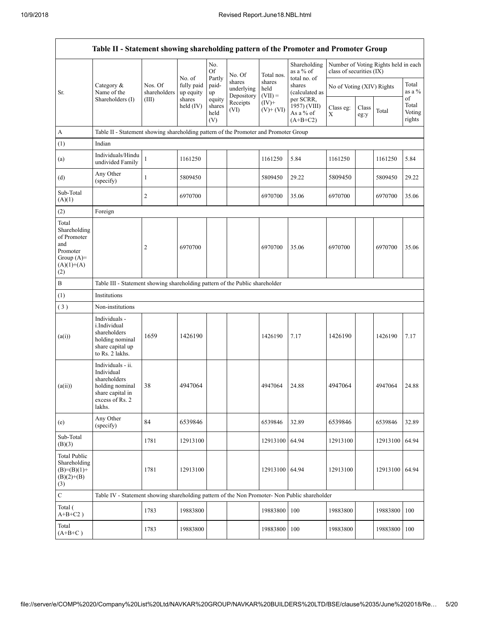|                                                                                                | Table II - Statement showing shareholding pattern of the Promoter and Promoter Group                                |                         |                         |                                 |                                    |                             |                                                      |                           |               |                                      |                                 |
|------------------------------------------------------------------------------------------------|---------------------------------------------------------------------------------------------------------------------|-------------------------|-------------------------|---------------------------------|------------------------------------|-----------------------------|------------------------------------------------------|---------------------------|---------------|--------------------------------------|---------------------------------|
|                                                                                                |                                                                                                                     |                         | No. of                  | No.<br>Of<br>Partly             | No. Of                             | Total nos.                  | Shareholding<br>as a % of<br>total no. of            | class of securities (IX)  |               | Number of Voting Rights held in each |                                 |
| Sr.                                                                                            | Category $\&$<br>Name of the                                                                                        | Nos. Of<br>shareholders | fully paid<br>up equity | paid-<br>up                     | shares<br>underlying<br>Depository | shares<br>held<br>$(VII) =$ | shares<br>(calculated as                             | No of Voting (XIV) Rights |               |                                      | Total<br>as a %                 |
|                                                                                                | Shareholders (I)                                                                                                    | (III)                   | shares<br>held $(IV)$   | equity<br>shares<br>held<br>(V) | Receipts<br>(VI)                   | $(IV)$ +<br>$(V)+(VI)$      | per SCRR,<br>1957) (VIII)<br>As a % of<br>$(A+B+C2)$ | Class eg:<br>Χ            | Class<br>eg:y | Total                                | of<br>Total<br>Voting<br>rights |
| A                                                                                              | Table II - Statement showing shareholding pattern of the Promoter and Promoter Group                                |                         |                         |                                 |                                    |                             |                                                      |                           |               |                                      |                                 |
| (1)                                                                                            | Indian                                                                                                              |                         |                         |                                 |                                    |                             |                                                      |                           |               |                                      |                                 |
| (a)                                                                                            | Individuals/Hindu<br>undivided Family                                                                               | 1                       | 1161250                 |                                 |                                    | 1161250                     | 5.84                                                 | 1161250                   |               | 1161250                              | 5.84                            |
| (d)                                                                                            | Any Other<br>(specify)                                                                                              | $\mathbf{1}$            | 5809450                 |                                 |                                    | 5809450                     | 29.22                                                | 5809450                   |               | 5809450                              | 29.22                           |
| Sub-Total<br>(A)(1)                                                                            |                                                                                                                     | 2                       | 6970700                 |                                 |                                    | 6970700                     | 35.06                                                | 6970700                   |               | 6970700                              | 35.06                           |
| (2)                                                                                            | Foreign                                                                                                             |                         |                         |                                 |                                    |                             |                                                      |                           |               |                                      |                                 |
| Total<br>Shareholding<br>of Promoter<br>and<br>Promoter<br>Group $(A)=$<br>$(A)(1)+(A)$<br>(2) |                                                                                                                     | $\overline{c}$          | 6970700                 |                                 |                                    | 6970700                     | 35.06                                                | 6970700                   |               | 6970700                              | 35.06                           |
| $\, {\bf B}$                                                                                   | Table III - Statement showing shareholding pattern of the Public shareholder                                        |                         |                         |                                 |                                    |                             |                                                      |                           |               |                                      |                                 |
| (1)                                                                                            | Institutions                                                                                                        |                         |                         |                                 |                                    |                             |                                                      |                           |               |                                      |                                 |
| (3)                                                                                            | Non-institutions                                                                                                    |                         |                         |                                 |                                    |                             |                                                      |                           |               |                                      |                                 |
| (a(i))                                                                                         | Individuals -<br>i.Individual<br>shareholders<br>holding nominal<br>share capital up<br>to Rs. 2 lakhs.             | 1659                    | 1426190                 |                                 |                                    | 1426190                     | 7.17                                                 | 1426190                   |               | 1426190                              | 7.17                            |
| (a(ii))                                                                                        | Individuals - ii.<br>Individual<br>shareholders<br>holding nominal<br>share capital in<br>excess of Rs. 2<br>lakhs. | 38                      | 4947064                 |                                 |                                    | 4947064                     | 24.88                                                | 4947064                   |               | 4947064                              | 24.88                           |
| (e)                                                                                            | Any Other<br>(specify)                                                                                              | 84                      | 6539846                 |                                 |                                    | 6539846                     | 32.89                                                | 6539846                   |               | 6539846                              | 32.89                           |
| Sub-Total<br>(B)(3)                                                                            |                                                                                                                     | 1781                    | 12913100                |                                 |                                    | 12913100                    | 64.94                                                | 12913100                  |               | 12913100                             | 64.94                           |
| <b>Total Public</b><br>Shareholding<br>$(B)=(B)(1)+$<br>$(B)(2)+(B)$<br>(3)                    |                                                                                                                     | 1781                    | 12913100                |                                 |                                    | 12913100                    | 64.94                                                | 12913100                  |               | 12913100 64.94                       |                                 |
| $\mathbf C$                                                                                    | Table IV - Statement showing shareholding pattern of the Non Promoter- Non Public shareholder                       |                         |                         |                                 |                                    |                             |                                                      |                           |               |                                      |                                 |
| Total (<br>$A+B+C2$ )                                                                          |                                                                                                                     | 1783                    | 19883800                |                                 |                                    | 19883800                    | 100                                                  | 19883800                  |               | 19883800                             | 100                             |
| Total<br>$(A+B+C)$                                                                             |                                                                                                                     | 1783                    | 19883800                |                                 |                                    | 19883800                    | 100                                                  | 19883800                  |               | 19883800 100                         |                                 |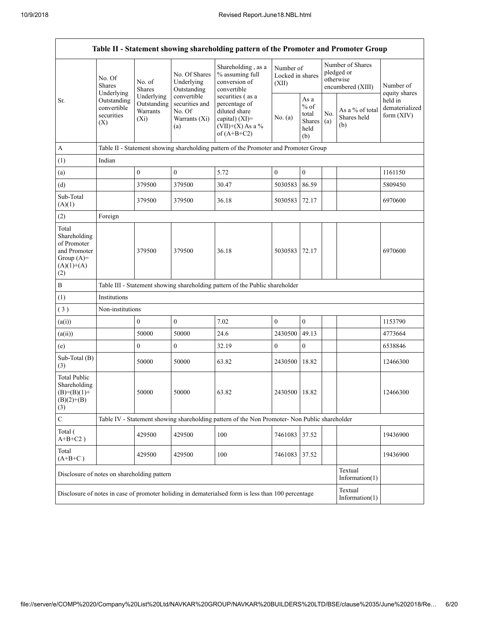|                                                                                             |                                                                  |                                                                                                                                    |                                                                                                                     | Table II - Statement showing shareholding pattern of the Promoter and Promoter Group                           |                  |                                                         |            |                                                                  |                                           |
|---------------------------------------------------------------------------------------------|------------------------------------------------------------------|------------------------------------------------------------------------------------------------------------------------------------|---------------------------------------------------------------------------------------------------------------------|----------------------------------------------------------------------------------------------------------------|------------------|---------------------------------------------------------|------------|------------------------------------------------------------------|-------------------------------------------|
| Sr.                                                                                         | No. Of<br>No. of<br><b>Shares</b><br><b>Shares</b><br>Underlying |                                                                                                                                    | Shareholding, as a<br>No. Of Shares<br>% assuming full<br>conversion of<br>Underlying<br>Outstanding<br>convertible |                                                                                                                | (XII)            | Number of<br>Locked in shares                           |            | Number of Shares<br>pledged or<br>otherwise<br>encumbered (XIII) | Number of<br>equity shares                |
|                                                                                             | Outstanding<br>convertible<br>securities<br>(X)                  | Underlying<br>Outstanding<br>Warrants<br>$(X_i)$                                                                                   | convertible<br>securities and<br>No. Of<br>Warrants (Xi)<br>(a)                                                     | securities (as a<br>percentage of<br>diluted share<br>capital) $(XI)$ =<br>$(VII)+(X)$ As a %<br>of $(A+B+C2)$ | No. $(a)$        | As a<br>$%$ of<br>total<br><b>Shares</b><br>held<br>(b) | No.<br>(a) | As a % of total<br>Shares held<br>(b)                            | held in<br>dematerialized<br>form $(XIV)$ |
| $\mathbf{A}$                                                                                |                                                                  |                                                                                                                                    |                                                                                                                     | Table II - Statement showing shareholding pattern of the Promoter and Promoter Group                           |                  |                                                         |            |                                                                  |                                           |
| (1)                                                                                         | Indian                                                           |                                                                                                                                    |                                                                                                                     |                                                                                                                |                  |                                                         |            |                                                                  |                                           |
| (a)                                                                                         |                                                                  | $\mathbf{0}$                                                                                                                       | $\overline{0}$                                                                                                      | 5.72                                                                                                           | $\mathbf{0}$     | $\mathbf{0}$                                            |            |                                                                  | 1161150                                   |
| (d)                                                                                         |                                                                  | 379500                                                                                                                             | 379500                                                                                                              | 30.47                                                                                                          | 5030583          | 86.59                                                   |            |                                                                  | 5809450                                   |
| Sub-Total<br>(A)(1)                                                                         |                                                                  | 379500                                                                                                                             | 379500                                                                                                              | 36.18                                                                                                          | 5030583          | 72.17                                                   |            |                                                                  | 6970600                                   |
| (2)                                                                                         | Foreign                                                          |                                                                                                                                    |                                                                                                                     |                                                                                                                |                  |                                                         |            |                                                                  |                                           |
| Total<br>Shareholding<br>of Promoter<br>and Promoter<br>Group $(A)=$<br>$(A)(1)+(A)$<br>(2) |                                                                  | 379500                                                                                                                             | 379500                                                                                                              | 36.18                                                                                                          | 5030583          | 72.17                                                   |            |                                                                  | 6970600                                   |
| $\, {\bf B}$                                                                                |                                                                  |                                                                                                                                    |                                                                                                                     | Table III - Statement showing shareholding pattern of the Public shareholder                                   |                  |                                                         |            |                                                                  |                                           |
| (1)                                                                                         | Institutions                                                     |                                                                                                                                    |                                                                                                                     |                                                                                                                |                  |                                                         |            |                                                                  |                                           |
| (3)                                                                                         | Non-institutions                                                 |                                                                                                                                    |                                                                                                                     |                                                                                                                |                  |                                                         |            |                                                                  |                                           |
| (a(i))                                                                                      |                                                                  | $\mathbf{0}$                                                                                                                       | $\boldsymbol{0}$                                                                                                    | 7.02                                                                                                           | $\mathbf{0}$     | $\boldsymbol{0}$                                        |            |                                                                  | 1153790                                   |
| (a(ii))                                                                                     |                                                                  | 50000                                                                                                                              | 50000                                                                                                               | 24.6                                                                                                           | 2430500          | 49.13                                                   |            |                                                                  | 4773664                                   |
| (e)                                                                                         |                                                                  | $\boldsymbol{0}$                                                                                                                   | $\boldsymbol{0}$                                                                                                    | 32.19                                                                                                          | $\boldsymbol{0}$ | $\mathbf{0}$                                            |            |                                                                  | 6538846                                   |
| Sub-Total (B)<br>(3)                                                                        |                                                                  | 50000                                                                                                                              | 50000                                                                                                               | 63.82                                                                                                          | 2430500          | 18.82                                                   |            |                                                                  | 12466300                                  |
| <b>Total Public</b><br>Shareholding<br>$(B)=(B)(1)+$<br>$(B)(2)+(B)$<br>(3)                 |                                                                  | 50000                                                                                                                              | 50000                                                                                                               | 63.82                                                                                                          | 2430500 18.82    |                                                         |            |                                                                  | 12466300                                  |
| $\mathbf C$                                                                                 |                                                                  |                                                                                                                                    |                                                                                                                     | Table IV - Statement showing shareholding pattern of the Non Promoter- Non Public shareholder                  |                  |                                                         |            |                                                                  |                                           |
| Total (<br>$A+B+C2$ )                                                                       |                                                                  | 429500                                                                                                                             | 429500                                                                                                              | 100                                                                                                            | 7461083          | 37.52                                                   |            |                                                                  | 19436900                                  |
| Total<br>$(A+B+C)$                                                                          |                                                                  | 429500                                                                                                                             | 429500                                                                                                              | 100                                                                                                            | 7461083          | 37.52                                                   |            |                                                                  | 19436900                                  |
| Disclosure of notes on shareholding pattern                                                 |                                                                  |                                                                                                                                    |                                                                                                                     |                                                                                                                |                  |                                                         |            | Textual<br>Information $(1)$                                     |                                           |
|                                                                                             |                                                                  | Textual<br>Disclosure of notes in case of promoter holiding in dematerialsed form is less than 100 percentage<br>Information $(1)$ |                                                                                                                     |                                                                                                                |                  |                                                         |            |                                                                  |                                           |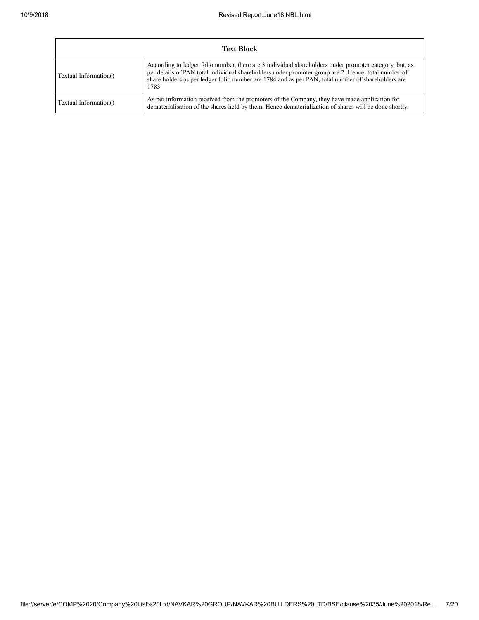| <b>Text Block</b>     |                                                                                                                                                                                                                                                                                                                              |  |  |  |  |  |  |  |
|-----------------------|------------------------------------------------------------------------------------------------------------------------------------------------------------------------------------------------------------------------------------------------------------------------------------------------------------------------------|--|--|--|--|--|--|--|
| Textual Information() | According to ledger folio number, there are 3 individual shareholders under promoter category, but, as<br>per details of PAN total individual shareholders under promoter group are 2. Hence, total number of<br>share holders as per ledger folio number are 1784 and as per PAN, total number of shareholders are<br>1783. |  |  |  |  |  |  |  |
| Textual Information() | As per information received from the promoters of the Company, they have made application for<br>dematerialization of the shares held by them. Hence dematerialization of shares will be done shortly.                                                                                                                       |  |  |  |  |  |  |  |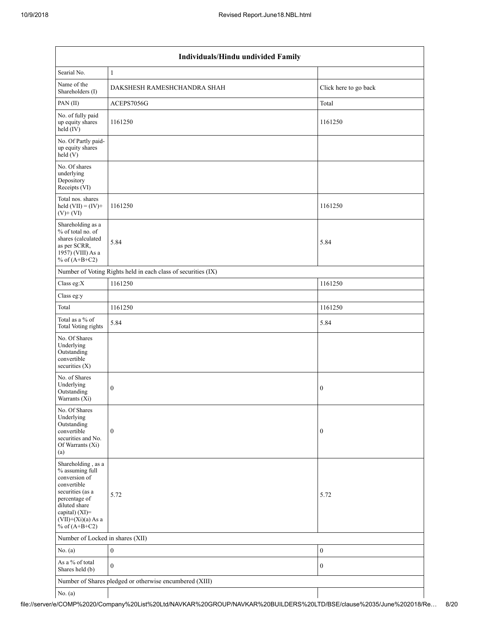|                                                                                                                                                                                          | Individuals/Hindu undivided Family                            |                       |  |  |  |  |  |  |
|------------------------------------------------------------------------------------------------------------------------------------------------------------------------------------------|---------------------------------------------------------------|-----------------------|--|--|--|--|--|--|
| Searial No.                                                                                                                                                                              | $\mathbf{1}$                                                  |                       |  |  |  |  |  |  |
| Name of the<br>Shareholders (I)                                                                                                                                                          | DAKSHESH RAMESHCHANDRA SHAH                                   | Click here to go back |  |  |  |  |  |  |
| PAN (II)                                                                                                                                                                                 | ACEPS7056G                                                    | Total                 |  |  |  |  |  |  |
| No. of fully paid<br>up equity shares<br>held (IV)                                                                                                                                       | 1161250                                                       | 1161250               |  |  |  |  |  |  |
| No. Of Partly paid-<br>up equity shares<br>held (V)                                                                                                                                      |                                                               |                       |  |  |  |  |  |  |
| No. Of shares<br>underlying<br>Depository<br>Receipts (VI)                                                                                                                               |                                                               |                       |  |  |  |  |  |  |
| Total nos. shares<br>held $(VII) = (IV) +$<br>$(V)+(VI)$                                                                                                                                 | 1161250                                                       | 1161250               |  |  |  |  |  |  |
| Shareholding as a<br>% of total no. of<br>shares (calculated<br>as per SCRR,<br>1957) (VIII) As a<br>% of $(A+B+C2)$                                                                     | 5.84                                                          | 5.84                  |  |  |  |  |  |  |
|                                                                                                                                                                                          | Number of Voting Rights held in each class of securities (IX) |                       |  |  |  |  |  |  |
| Class eg:X                                                                                                                                                                               | 1161250                                                       | 1161250               |  |  |  |  |  |  |
| Class eg:y                                                                                                                                                                               |                                                               |                       |  |  |  |  |  |  |
| Total                                                                                                                                                                                    | 1161250                                                       | 1161250               |  |  |  |  |  |  |
| Total as a % of<br>Total Voting rights                                                                                                                                                   | 5.84                                                          | 5.84                  |  |  |  |  |  |  |
| No. Of Shares<br>Underlying<br>Outstanding<br>convertible<br>securities $(X)$                                                                                                            |                                                               |                       |  |  |  |  |  |  |
| No. of Shares<br>Underlying<br>Outstanding<br>Warrants (Xi)                                                                                                                              | $\boldsymbol{0}$                                              | $\boldsymbol{0}$      |  |  |  |  |  |  |
| No. Of Shares<br>Underlying<br>Outstanding<br>convertible<br>securities and No.<br>Of Warrants (Xi)<br>(a)                                                                               | $\boldsymbol{0}$                                              | $\boldsymbol{0}$      |  |  |  |  |  |  |
| Shareholding, as a<br>% assuming full<br>conversion of<br>convertible<br>securities (as a<br>percentage of<br>diluted share<br>capital) (XI)=<br>$(VII)+(Xi)(a)$ As a<br>% of $(A+B+C2)$ | 5.72                                                          | 5.72                  |  |  |  |  |  |  |
| Number of Locked in shares (XII)                                                                                                                                                         |                                                               |                       |  |  |  |  |  |  |
| No. (a)                                                                                                                                                                                  | $\boldsymbol{0}$                                              | $\boldsymbol{0}$      |  |  |  |  |  |  |
| As a % of total<br>Shares held (b)                                                                                                                                                       | $\mathbf{0}$                                                  | $\boldsymbol{0}$      |  |  |  |  |  |  |
|                                                                                                                                                                                          | Number of Shares pledged or otherwise encumbered (XIII)       |                       |  |  |  |  |  |  |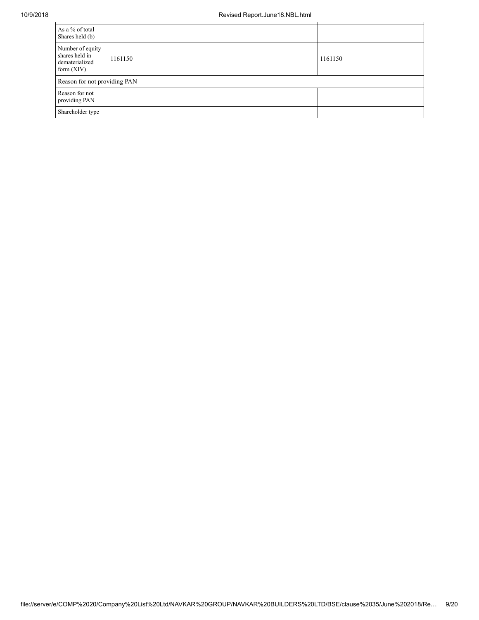| As a % of total<br>Shares held (b)                                   |         |         |
|----------------------------------------------------------------------|---------|---------|
| Number of equity<br>shares held in<br>dematerialized<br>form $(XIV)$ | 1161150 | 1161150 |
| Reason for not providing PAN                                         |         |         |
| Reason for not<br>providing PAN                                      |         |         |
| Shareholder type                                                     |         |         |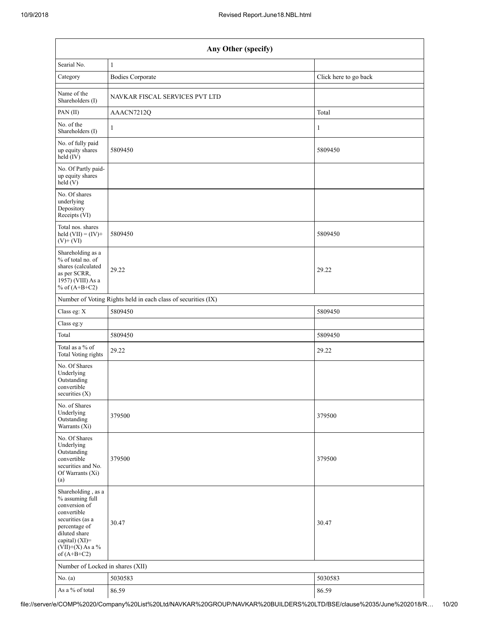|                                                                                                                                                                                      | Any Other (specify)                                           |                       |  |  |  |  |  |  |
|--------------------------------------------------------------------------------------------------------------------------------------------------------------------------------------|---------------------------------------------------------------|-----------------------|--|--|--|--|--|--|
| Searial No.                                                                                                                                                                          | 1                                                             |                       |  |  |  |  |  |  |
| Category                                                                                                                                                                             | <b>Bodies Corporate</b>                                       | Click here to go back |  |  |  |  |  |  |
| Name of the<br>Shareholders (I)                                                                                                                                                      | NAVKAR FISCAL SERVICES PVT LTD                                |                       |  |  |  |  |  |  |
| PAN(II)                                                                                                                                                                              | AAACN7212Q                                                    | Total                 |  |  |  |  |  |  |
| No. of the<br>Shareholders (I)                                                                                                                                                       | 1                                                             | $\mathbf{1}$          |  |  |  |  |  |  |
| No. of fully paid<br>up equity shares<br>$held$ (IV)                                                                                                                                 | 5809450                                                       | 5809450               |  |  |  |  |  |  |
| No. Of Partly paid-<br>up equity shares<br>$\text{held} (V)$                                                                                                                         |                                                               |                       |  |  |  |  |  |  |
| No. Of shares<br>underlying<br>Depository<br>Receipts (VI)                                                                                                                           |                                                               |                       |  |  |  |  |  |  |
| Total nos. shares<br>held $(VII) = (IV) +$<br>$(V)$ + $(VI)$                                                                                                                         | 5809450                                                       | 5809450               |  |  |  |  |  |  |
| Shareholding as a<br>% of total no. of<br>shares (calculated<br>as per SCRR,<br>1957) (VIII) As a<br>% of $(A+B+C2)$                                                                 | 29.22                                                         | 29.22                 |  |  |  |  |  |  |
|                                                                                                                                                                                      | Number of Voting Rights held in each class of securities (IX) |                       |  |  |  |  |  |  |
| Class eg: X                                                                                                                                                                          | 5809450                                                       | 5809450               |  |  |  |  |  |  |
| Class eg:y                                                                                                                                                                           |                                                               |                       |  |  |  |  |  |  |
| Total                                                                                                                                                                                | 5809450                                                       | 5809450               |  |  |  |  |  |  |
| Total as a % of<br><b>Total Voting rights</b>                                                                                                                                        | 29.22                                                         | 29.22                 |  |  |  |  |  |  |
| No. Of Shares<br>Underlying<br>Outstanding<br>convertible<br>securities $(X)$                                                                                                        |                                                               |                       |  |  |  |  |  |  |
| No. of Shares<br>Underlying<br>Outstanding<br>Warrants $(X_i)$                                                                                                                       | 379500                                                        | 379500                |  |  |  |  |  |  |
| No. Of Shares<br>Underlying<br>Outstanding<br>convertible<br>securities and No.<br>Of Warrants (Xi)<br>(a)                                                                           | 379500                                                        | 379500                |  |  |  |  |  |  |
| Shareholding, as a<br>% assuming full<br>conversion of<br>convertible<br>securities (as a<br>percentage of<br>diluted share<br>capital) (XI)=<br>$(VII)+(X)$ As a %<br>of $(A+B+C2)$ | 30.47                                                         | 30.47                 |  |  |  |  |  |  |
| Number of Locked in shares (XII)                                                                                                                                                     |                                                               |                       |  |  |  |  |  |  |
| No. $(a)$                                                                                                                                                                            | 5030583                                                       | 5030583               |  |  |  |  |  |  |
| As a $%$ of total                                                                                                                                                                    | 86.59                                                         | 86.59                 |  |  |  |  |  |  |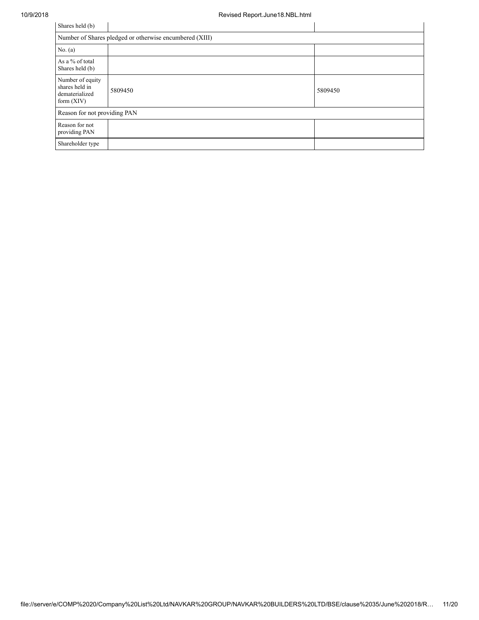| Shares held (b)                                                      |                                                         |         |  |  |  |  |  |  |
|----------------------------------------------------------------------|---------------------------------------------------------|---------|--|--|--|--|--|--|
|                                                                      | Number of Shares pledged or otherwise encumbered (XIII) |         |  |  |  |  |  |  |
| No. $(a)$                                                            |                                                         |         |  |  |  |  |  |  |
| As a % of total<br>Shares held (b)                                   |                                                         |         |  |  |  |  |  |  |
| Number of equity<br>shares held in<br>dematerialized<br>form $(XIV)$ | 5809450                                                 | 5809450 |  |  |  |  |  |  |
| Reason for not providing PAN                                         |                                                         |         |  |  |  |  |  |  |
| Reason for not<br>providing PAN                                      |                                                         |         |  |  |  |  |  |  |
| Shareholder type                                                     |                                                         |         |  |  |  |  |  |  |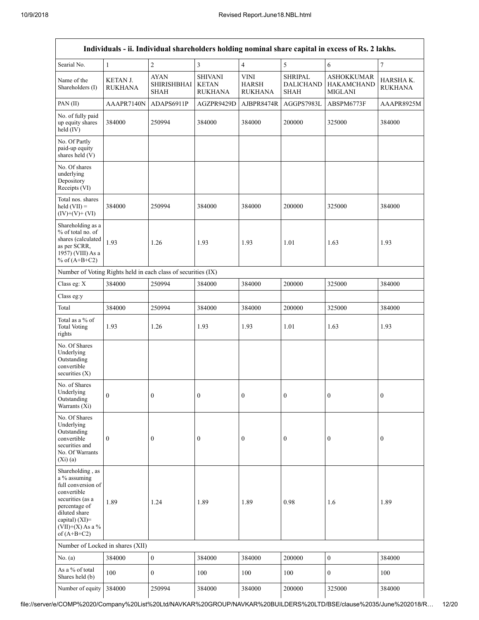|                                                                                                                                                                                      | Individuals - ii. Individual shareholders holding nominal share capital in excess of Rs. 2 lakhs. |                                                  |                                                  |                                               |                                                   |                                                          |                            |  |  |  |  |
|--------------------------------------------------------------------------------------------------------------------------------------------------------------------------------------|---------------------------------------------------------------------------------------------------|--------------------------------------------------|--------------------------------------------------|-----------------------------------------------|---------------------------------------------------|----------------------------------------------------------|----------------------------|--|--|--|--|
| Searial No.                                                                                                                                                                          | $\mathbf{1}$                                                                                      | $\overline{c}$                                   | $\mathfrak{Z}$                                   | $\overline{4}$                                | 5                                                 | 6                                                        | $\boldsymbol{7}$           |  |  |  |  |
| Name of the<br>Shareholders (I)                                                                                                                                                      | KETAN J.<br><b>RUKHANA</b>                                                                        | <b>AYAN</b><br><b>SHIRISHBHAI</b><br><b>SHAH</b> | <b>SHIVANI</b><br><b>KETAN</b><br><b>RUKHANA</b> | <b>VINI</b><br><b>HARSH</b><br><b>RUKHANA</b> | <b>SHRIPAL</b><br><b>DALICHAND</b><br><b>SHAH</b> | <b>ASHOKKUMAR</b><br><b>HAKAMCHAND</b><br><b>MIGLANI</b> | HARSHAK.<br><b>RUKHANA</b> |  |  |  |  |
| PAN(II)                                                                                                                                                                              | AAAPR7140N                                                                                        | ADAPS6911P                                       | AGZPR9429D                                       | AJBPR8474R                                    | AGGPS7983L                                        | ABSPM6773F                                               | AAAPR8925M                 |  |  |  |  |
| No. of fully paid<br>up equity shares<br>held (IV)                                                                                                                                   | 384000                                                                                            | 250994                                           | 384000                                           | 384000                                        | 200000                                            | 325000                                                   | 384000                     |  |  |  |  |
| No. Of Partly<br>paid-up equity<br>shares held (V)                                                                                                                                   |                                                                                                   |                                                  |                                                  |                                               |                                                   |                                                          |                            |  |  |  |  |
| No. Of shares<br>underlying<br>Depository<br>Receipts (VI)                                                                                                                           |                                                                                                   |                                                  |                                                  |                                               |                                                   |                                                          |                            |  |  |  |  |
| Total nos. shares<br>held $(VII) =$<br>$(IV)+(V)+(VI)$                                                                                                                               | 384000                                                                                            | 250994                                           | 384000                                           | 384000                                        | 200000                                            | 325000                                                   | 384000                     |  |  |  |  |
| Shareholding as a<br>% of total no. of<br>shares (calculated<br>as per SCRR,<br>1957) (VIII) As a<br>% of $(A+B+C2)$                                                                 | 1.93                                                                                              | 1.26                                             | 1.93                                             | 1.93                                          | 1.01                                              | 1.63                                                     | 1.93                       |  |  |  |  |
| Number of Voting Rights held in each class of securities (IX)                                                                                                                        |                                                                                                   |                                                  |                                                  |                                               |                                                   |                                                          |                            |  |  |  |  |
| Class eg: X                                                                                                                                                                          | 384000                                                                                            | 250994                                           | 384000                                           | 384000                                        | 200000                                            | 325000                                                   | 384000                     |  |  |  |  |
| Class eg:y                                                                                                                                                                           |                                                                                                   |                                                  |                                                  |                                               |                                                   |                                                          |                            |  |  |  |  |
| Total                                                                                                                                                                                | 384000                                                                                            | 250994                                           | 384000                                           | 384000                                        | 200000                                            | 325000                                                   | 384000                     |  |  |  |  |
| Total as a % of<br><b>Total Voting</b><br>rights                                                                                                                                     | 1.93                                                                                              | 1.26                                             | 1.93                                             | 1.93                                          | 1.01                                              | 1.63                                                     | 1.93                       |  |  |  |  |
| No. Of Shares<br>Underlying<br>Outstanding<br>convertible<br>securities $(X)$                                                                                                        |                                                                                                   |                                                  |                                                  |                                               |                                                   |                                                          |                            |  |  |  |  |
| No. of Shares<br>Underlying<br>Outstanding<br>Warrants (Xi)                                                                                                                          | $\boldsymbol{0}$                                                                                  | $\boldsymbol{0}$                                 | $\boldsymbol{0}$                                 | $\boldsymbol{0}$                              | $\boldsymbol{0}$                                  | $\boldsymbol{0}$                                         | $\boldsymbol{0}$           |  |  |  |  |
| No. Of Shares<br>Underlying<br>Outstanding<br>convertible<br>securities and<br>No. Of Warrants<br>$(X_i)(a)$                                                                         | $\boldsymbol{0}$                                                                                  | $\boldsymbol{0}$                                 | $\boldsymbol{0}$                                 | $\boldsymbol{0}$                              | $\boldsymbol{0}$                                  | $\boldsymbol{0}$                                         | $\boldsymbol{0}$           |  |  |  |  |
| Shareholding, as<br>a % assuming<br>full conversion of<br>convertible<br>securities (as a<br>percentage of<br>diluted share<br>capital) (XI)=<br>$(VII)+(X)$ As a %<br>of $(A+B+C2)$ | 1.89                                                                                              | 1.24                                             | 1.89                                             | 1.89                                          | 0.98                                              | 1.6                                                      | 1.89                       |  |  |  |  |
| Number of Locked in shares (XII)                                                                                                                                                     |                                                                                                   |                                                  |                                                  |                                               |                                                   |                                                          |                            |  |  |  |  |
| No. (a)                                                                                                                                                                              | 384000                                                                                            | $\boldsymbol{0}$                                 | 384000                                           | 384000                                        | 200000                                            | $\mathbf{0}$                                             | 384000                     |  |  |  |  |
| As a % of total<br>Shares held (b)                                                                                                                                                   | 100                                                                                               | $\mathbf{0}$                                     | 100                                              | 100                                           | 100                                               | $\mathbf{0}$                                             | 100                        |  |  |  |  |
| Number of equity                                                                                                                                                                     | 384000                                                                                            | 250994                                           | 384000                                           | 384000                                        | 200000                                            | 325000                                                   | 384000                     |  |  |  |  |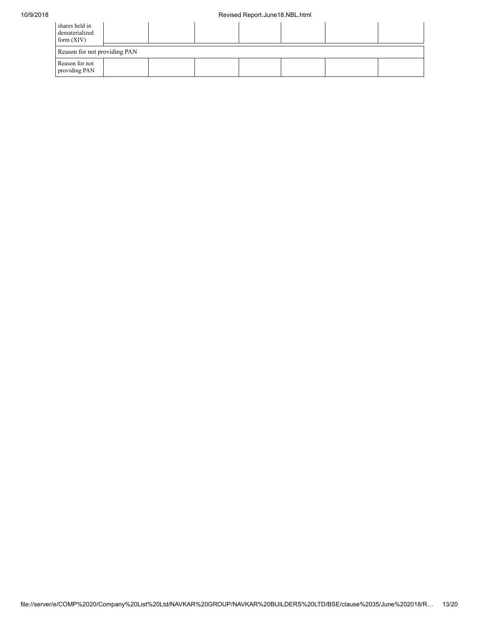| shares held in<br>dematerialized<br>form $(XIV)$ |  |  |  |  |
|--------------------------------------------------|--|--|--|--|
| Reason for not providing PAN                     |  |  |  |  |
| Reason for not<br>providing PAN                  |  |  |  |  |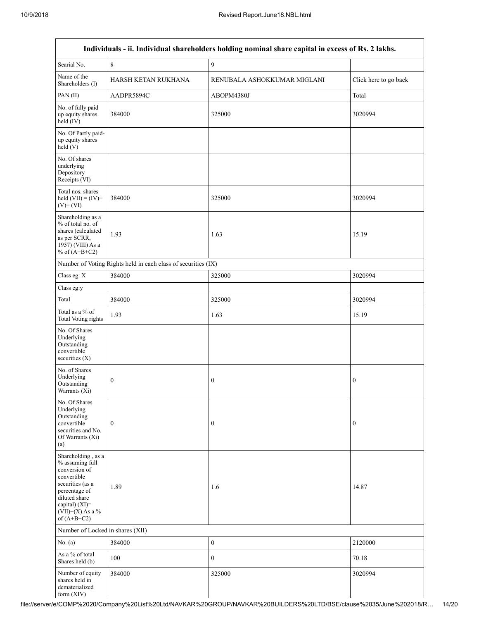| Individuals - ii. Individual shareholders holding nominal share capital in excess of Rs. 2 lakhs.                                                                                    |                                                               |                             |                       |  |  |
|--------------------------------------------------------------------------------------------------------------------------------------------------------------------------------------|---------------------------------------------------------------|-----------------------------|-----------------------|--|--|
| Searial No.                                                                                                                                                                          | 8                                                             | 9                           |                       |  |  |
| Name of the<br>Shareholders (I)                                                                                                                                                      | HARSH KETAN RUKHANA                                           | RENUBALA ASHOKKUMAR MIGLANI | Click here to go back |  |  |
| PAN(II)                                                                                                                                                                              | AADPR5894C                                                    | ABOPM4380J                  | Total                 |  |  |
| No. of fully paid<br>up equity shares<br>held (IV)                                                                                                                                   | 384000                                                        | 325000                      | 3020994               |  |  |
| No. Of Partly paid-<br>up equity shares<br>held(V)                                                                                                                                   |                                                               |                             |                       |  |  |
| No. Of shares<br>underlying<br>Depository<br>Receipts (VI)                                                                                                                           |                                                               |                             |                       |  |  |
| Total nos. shares<br>held $(VII) = (IV) +$<br>$(V)$ + $(VI)$                                                                                                                         | 384000                                                        | 325000                      | 3020994               |  |  |
| Shareholding as a<br>% of total no. of<br>shares (calculated<br>as per SCRR,<br>1957) (VIII) As a<br>% of $(A+B+C2)$                                                                 | 1.93                                                          | 1.63                        | 15.19                 |  |  |
|                                                                                                                                                                                      | Number of Voting Rights held in each class of securities (IX) |                             |                       |  |  |
| Class eg: X                                                                                                                                                                          | 384000                                                        | 325000                      | 3020994               |  |  |
| Class eg:y                                                                                                                                                                           |                                                               |                             |                       |  |  |
| Total                                                                                                                                                                                | 384000                                                        | 325000                      | 3020994               |  |  |
| Total as a % of<br><b>Total Voting rights</b>                                                                                                                                        | 1.93                                                          | 1.63                        | 15.19                 |  |  |
| No. Of Shares<br>Underlying<br>Outstanding<br>convertible<br>securities $(X)$                                                                                                        |                                                               |                             |                       |  |  |
| No. of Shares<br>Underlying<br>Outstanding<br>Warrants (Xi)                                                                                                                          | $\boldsymbol{0}$                                              | $\boldsymbol{0}$            | $\boldsymbol{0}$      |  |  |
| No. Of Shares<br>Underlying<br>Outstanding<br>convertible<br>securities and No.<br>Of Warrants (Xi)<br>(a)                                                                           | $\mathbf{0}$                                                  | $\boldsymbol{0}$            | $\boldsymbol{0}$      |  |  |
| Shareholding, as a<br>% assuming full<br>conversion of<br>convertible<br>securities (as a<br>percentage of<br>diluted share<br>capital) (XI)=<br>$(VII)+(X)$ As a %<br>of $(A+B+C2)$ | 1.89                                                          | 1.6                         | 14.87                 |  |  |
| Number of Locked in shares (XII)                                                                                                                                                     |                                                               |                             |                       |  |  |
| No. $(a)$                                                                                                                                                                            | 384000                                                        | $\boldsymbol{0}$            | 2120000               |  |  |
| As a % of total<br>Shares held (b)                                                                                                                                                   | 100                                                           | $\boldsymbol{0}$            | 70.18                 |  |  |
| Number of equity<br>shares held in<br>dematerialized                                                                                                                                 | 384000                                                        | 325000                      | 3020994               |  |  |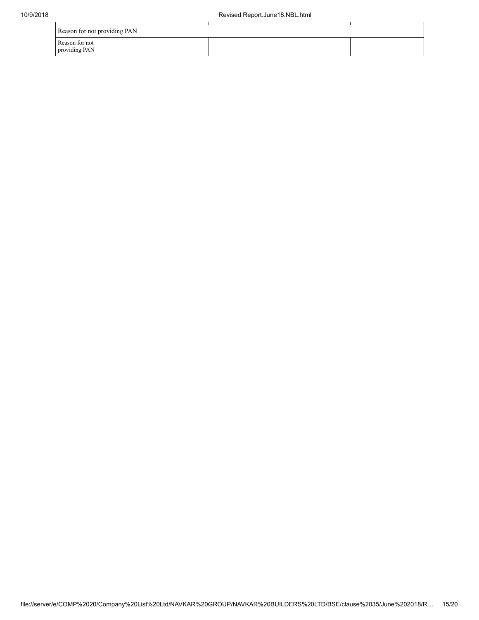| Reason for not providing PAN    |  |  |  |  |
|---------------------------------|--|--|--|--|
| Reason for not<br>providing PAN |  |  |  |  |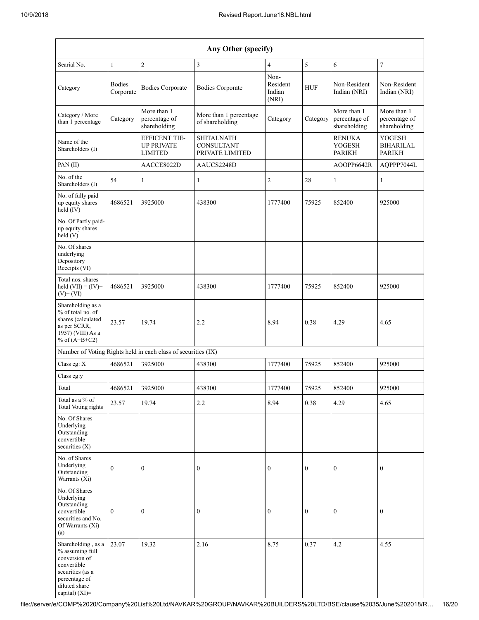| Any Other (specify)                                                                                                         |                            |                                                               |                                                    |                                     |                  |                                                 |                                                    |
|-----------------------------------------------------------------------------------------------------------------------------|----------------------------|---------------------------------------------------------------|----------------------------------------------------|-------------------------------------|------------------|-------------------------------------------------|----------------------------------------------------|
| Searial No.                                                                                                                 | $\mathbf{1}$               | $\boldsymbol{2}$                                              | $\overline{\mathbf{3}}$                            | $\overline{4}$                      | $\sqrt{5}$       | 6                                               | $\boldsymbol{7}$                                   |
| Category                                                                                                                    | <b>Bodies</b><br>Corporate | <b>Bodies Corporate</b>                                       | <b>Bodies Corporate</b>                            | Non-<br>Resident<br>Indian<br>(NRI) | <b>HUF</b>       | Non-Resident<br>Indian (NRI)                    | Non-Resident<br>Indian (NRI)                       |
| Category / More<br>than 1 percentage                                                                                        | Category                   | More than 1<br>percentage of<br>shareholding                  | More than 1 percentage<br>of shareholding          | Category                            | Category         | More than 1<br>percentage of<br>shareholding    | More than 1<br>percentage of<br>shareholding       |
| Name of the<br>Shareholders (I)                                                                                             |                            | EFFICENT TIE-<br><b>UP PRIVATE</b><br><b>LIMITED</b>          | <b>SHITALNATH</b><br>CONSULTANT<br>PRIVATE LIMITED |                                     |                  | <b>RENUKA</b><br><b>YOGESH</b><br><b>PARIKH</b> | <b>YOGESH</b><br><b>BIHARILAL</b><br><b>PARIKH</b> |
| PAN (II)                                                                                                                    |                            | AACCE8022D                                                    | AAUCS2248D                                         |                                     |                  | AOOPP6642R                                      | AQPPP7044L                                         |
| No. of the<br>Shareholders (I)                                                                                              | 54                         | $\mathbf{1}$                                                  | 1                                                  | $\overline{c}$                      | 28               | 1                                               | 1                                                  |
| No. of fully paid<br>up equity shares<br>held (IV)                                                                          | 4686521                    | 3925000                                                       | 438300                                             | 1777400                             | 75925            | 852400                                          | 925000                                             |
| No. Of Partly paid-<br>up equity shares<br>held $(V)$                                                                       |                            |                                                               |                                                    |                                     |                  |                                                 |                                                    |
| No. Of shares<br>underlying<br>Depository<br>Receipts (VI)                                                                  |                            |                                                               |                                                    |                                     |                  |                                                 |                                                    |
| Total nos. shares<br>held $(VII) = (IV) +$<br>$(V)$ + $(VI)$                                                                | 4686521                    | 3925000                                                       | 438300                                             | 1777400                             | 75925            | 852400                                          | 925000                                             |
| Shareholding as a<br>% of total no. of<br>shares (calculated<br>as per SCRR,<br>1957) (VIII) As a<br>% of $(A+B+C2)$        | 23.57                      | 19.74                                                         | 2.2                                                | 8.94                                | 0.38             | 4.29                                            | 4.65                                               |
|                                                                                                                             |                            | Number of Voting Rights held in each class of securities (IX) |                                                    |                                     |                  |                                                 |                                                    |
| Class eg: X                                                                                                                 | 4686521                    | 3925000                                                       | 438300                                             | 1777400                             | 75925            | 852400                                          | 925000                                             |
| Class eg:y                                                                                                                  |                            |                                                               |                                                    |                                     |                  |                                                 |                                                    |
| Total                                                                                                                       | 4686521                    | 3925000                                                       | 438300                                             | 1777400                             | 75925            | 852400                                          | 925000                                             |
| Total as a % of<br>Total Voting rights                                                                                      | 23.57                      | 19.74                                                         | 2.2                                                | 8.94                                | 0.38             | 4.29                                            | 4.65                                               |
| No. Of Shares<br>Underlying<br>Outstanding<br>convertible<br>securities $(X)$                                               |                            |                                                               |                                                    |                                     |                  |                                                 |                                                    |
| No. of Shares<br>Underlying<br>Outstanding<br>Warrants (Xi)                                                                 | $\mathbf{0}$               | $\overline{0}$                                                | $\boldsymbol{0}$                                   | $\boldsymbol{0}$                    | $\boldsymbol{0}$ | $\boldsymbol{0}$                                | $\mathbf{0}$                                       |
| No. Of Shares<br>Underlying<br>Outstanding<br>convertible<br>securities and No.<br>Of Warrants (Xi)<br>(a)                  | $\boldsymbol{0}$           | $\boldsymbol{0}$                                              | 0                                                  | $\boldsymbol{0}$                    | $\boldsymbol{0}$ | $\boldsymbol{0}$                                | $\mathbf{0}$                                       |
| Shareholding, as a<br>% assuming full<br>conversion of<br>convertible<br>securities (as a<br>percentage of<br>diluted share | 23.07                      | 19.32                                                         | 2.16                                               | 8.75                                | 0.37             | 4.2                                             | 4.55                                               |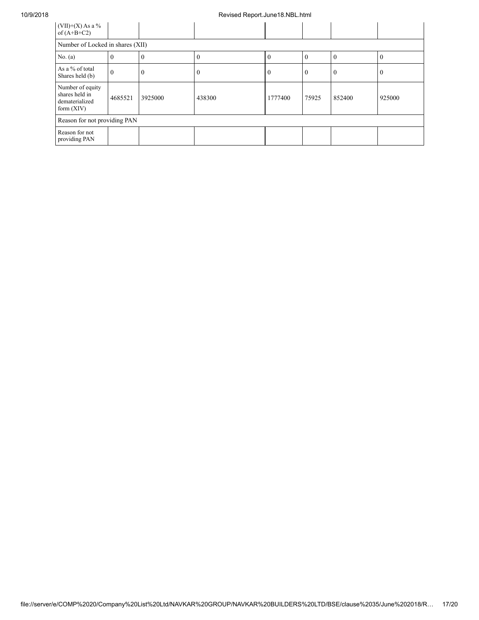| $(VII)+(X)$ As a %<br>of $(A+B+C2)$                                  |          |          |        |          |       |        |          |
|----------------------------------------------------------------------|----------|----------|--------|----------|-------|--------|----------|
| Number of Locked in shares (XII)                                     |          |          |        |          |       |        |          |
| No. $(a)$                                                            | v        | $\bf{0}$ | 0      | $\Omega$ | -0    | U      | $\theta$ |
| As a % of total<br>Shares held (b)                                   | $\Omega$ | $\bf{0}$ |        | v        | 0     | U      | v        |
| Number of equity<br>shares held in<br>dematerialized<br>form $(XIV)$ | 4685521  | 3925000  | 438300 | 1777400  | 75925 | 852400 | 925000   |
| Reason for not providing PAN                                         |          |          |        |          |       |        |          |
| Reason for not<br>providing PAN                                      |          |          |        |          |       |        |          |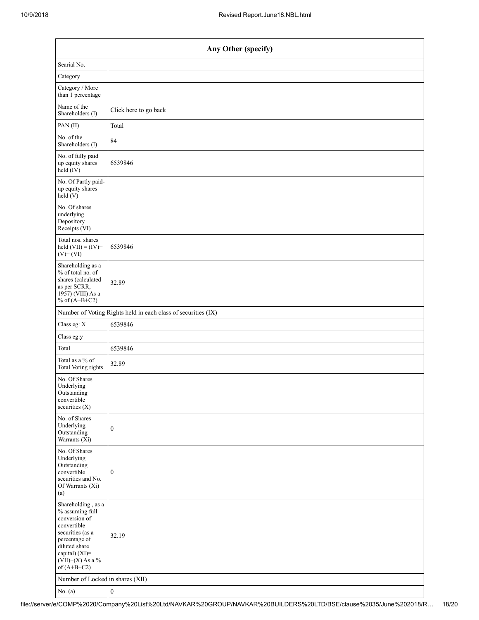| Any Other (specify)                                                                                                                                                                  |                                                               |  |  |  |  |  |
|--------------------------------------------------------------------------------------------------------------------------------------------------------------------------------------|---------------------------------------------------------------|--|--|--|--|--|
| Searial No.                                                                                                                                                                          |                                                               |  |  |  |  |  |
| Category                                                                                                                                                                             |                                                               |  |  |  |  |  |
| Category / More<br>than 1 percentage                                                                                                                                                 |                                                               |  |  |  |  |  |
| Name of the<br>Shareholders (I)                                                                                                                                                      | Click here to go back                                         |  |  |  |  |  |
| PAN (II)                                                                                                                                                                             | Total                                                         |  |  |  |  |  |
| No. of the<br>Shareholders (I)                                                                                                                                                       | 84                                                            |  |  |  |  |  |
| No. of fully paid<br>up equity shares<br>held (IV)                                                                                                                                   | 6539846                                                       |  |  |  |  |  |
| No. Of Partly paid-<br>up equity shares<br>held (V)                                                                                                                                  |                                                               |  |  |  |  |  |
| No. Of shares<br>underlying<br>Depository<br>Receipts (VI)                                                                                                                           |                                                               |  |  |  |  |  |
| Total nos. shares<br>held $(VII) = (IV) +$<br>$(V)$ + $(VI)$                                                                                                                         | 6539846                                                       |  |  |  |  |  |
| Shareholding as a<br>% of total no. of<br>shares (calculated<br>as per SCRR,<br>1957) (VIII) As a<br>% of $(A+B+C2)$                                                                 | 32.89                                                         |  |  |  |  |  |
|                                                                                                                                                                                      | Number of Voting Rights held in each class of securities (IX) |  |  |  |  |  |
| Class eg: X                                                                                                                                                                          | 6539846                                                       |  |  |  |  |  |
| Class eg:y                                                                                                                                                                           |                                                               |  |  |  |  |  |
| Total                                                                                                                                                                                | 6539846                                                       |  |  |  |  |  |
| Total as a % of<br><b>Total Voting rights</b>                                                                                                                                        | 32.89                                                         |  |  |  |  |  |
| No. Of Shares<br>$\ensuremath{\mathsf{Underlying}}$<br>Outstanding<br>convertible<br>securities (X)                                                                                  |                                                               |  |  |  |  |  |
| No. of Shares<br>Underlying<br>Outstanding<br>Warrants (Xi)                                                                                                                          | $\boldsymbol{0}$                                              |  |  |  |  |  |
| No. Of Shares<br>Underlying<br>Outstanding<br>convertible<br>securities and No.<br>Of Warrants (Xi)<br>(a)                                                                           | $\boldsymbol{0}$                                              |  |  |  |  |  |
| Shareholding, as a<br>% assuming full<br>conversion of<br>convertible<br>securities (as a<br>percentage of<br>diluted share<br>capital) (XI)=<br>$(VII)+(X)$ As a %<br>of $(A+B+C2)$ | 32.19                                                         |  |  |  |  |  |
| Number of Locked in shares (XII)<br>$No$ (a)                                                                                                                                         | $\Delta$                                                      |  |  |  |  |  |